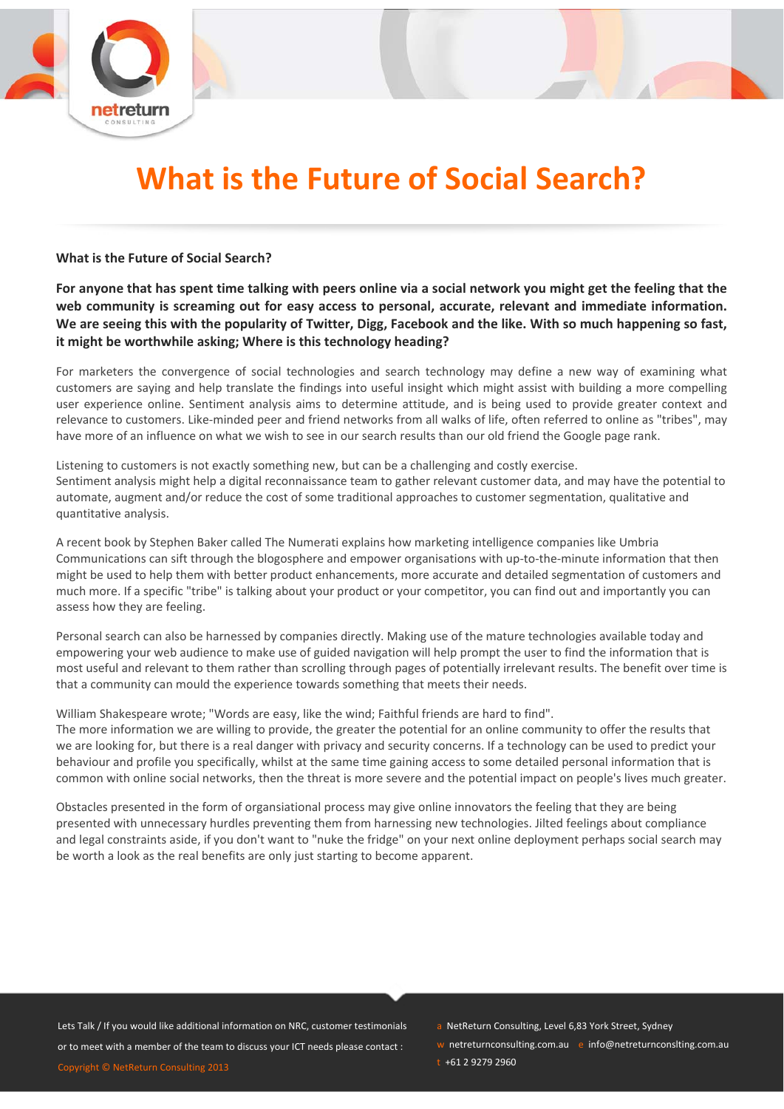

# **What is the Future of Social Search?**

#### **What is the Future of Social Search?**

For anyone that has spent time talking with peers online via a social network you might get the feeling that the **web community is screaming out for easy access to personal, accurate, relevant and immediate information.** We are seeing this with the popularity of Twitter, Digg, Facebook and the like. With so much happening so fast, **it might be worthwhile asking; Where is this technology heading?**

For marketers the convergence of social technologies and search technology may define a new way of examining what customers are saying and help translate the findings into useful insight which might assist with building a more compelling user experience online. Sentiment analysis aims to determine attitude, and is being used to provide greater context and relevance to customers. Like‐minded peer and friend networks from all walks of life, often referred to online as "tribes", may have more of an influence on what we wish to see in our search results than our old friend the Google page rank.

Listening to customers is not exactly something new, but can be a challenging and costly exercise. Sentiment analysis might help a digital reconnaissance team to gather relevant customer data, and may have the potential to automate, augment and/or reduce the cost of some traditional approaches to customer segmentation, qualitative and quantitative analysis.

A recent book by Stephen Baker called The Numerati explains how marketing intelligence companies like Umbria Communications can sift through the blogosphere and empower organisations with up-to-the-minute information that then might be used to help them with better product enhancements, more accurate and detailed segmentation of customers and much more. If a specific "tribe" is talking about your product or your competitor, you can find out and importantly you can assess how they are feeling.

Personal search can also be harnessed by companies directly. Making use of the mature technologies available today and empowering your web audience to make use of guided navigation will help prompt the user to find the information that is most useful and relevant to them rather than scrolling through pages of potentially irrelevant results. The benefit over time is that a community can mould the experience towards something that meets their needs.

William Shakespeare wrote; "Words are easy, like the wind; Faithful friends are hard to find".

The more information we are willing to provide, the greater the potential for an online community to offer the results that we are looking for, but there is a real danger with privacy and security concerns. If a technology can be used to predict your behaviour and profile you specifically, whilst at the same time gaining access to some detailed personal information that is common with online social networks, then the threat is more severe and the potential impact on people's lives much greater.

Obstacles presented in the form of organsiational process may give online innovators the feeling that they are being presented with unnecessary hurdles preventing them from harnessing new technologies. Jilted feelings about compliance and legal constraints aside, if you don't want to "nuke the fridge" on your next online deployment perhaps social search may be worth a look as the real benefits are only just starting to become apparent.

Lets Talk / If you would like additional information on NRC, customer testimonials or to meet with a member of the team to discuss your ICT needs please contact : Copyright © NetReturn Consulting 2013

- a NetReturn Consulting, Level 6,83 York Street, Sydney
- w netreturnconsulting.com.au e info@netreturnconslting.com.au

 $t + 61$  2 9279 2960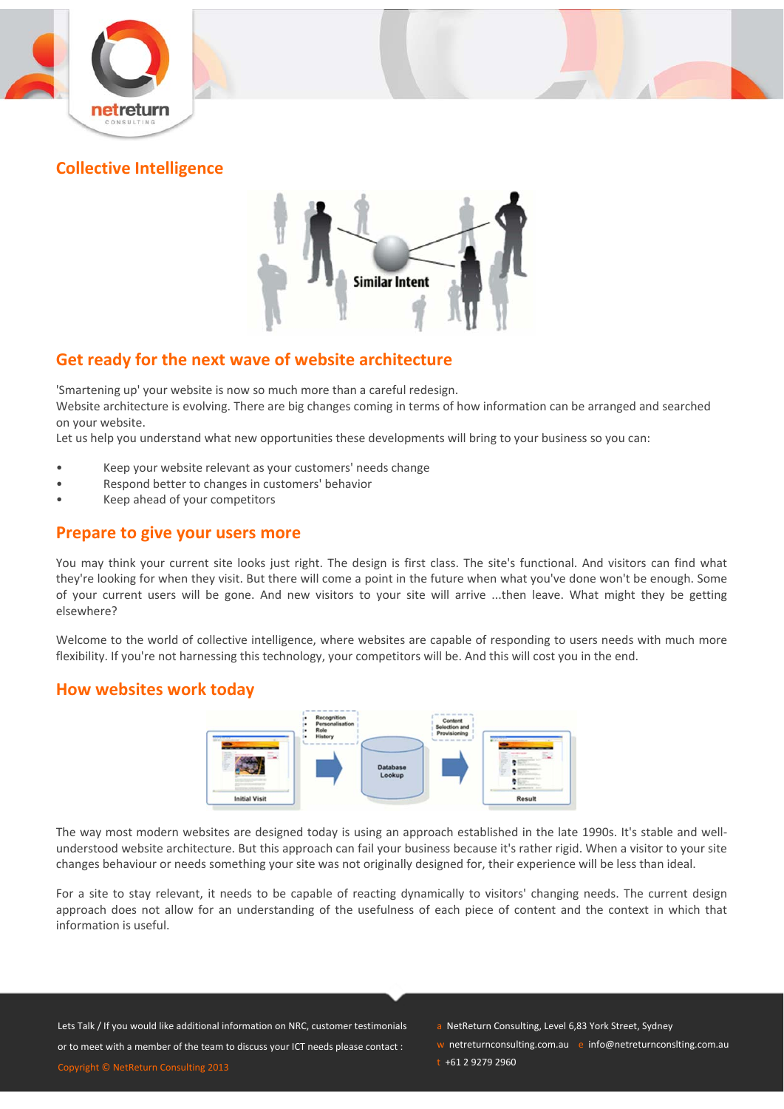





# **Get ready for the next wave of website architecture**

'Smartening up' your website is now so much more than a careful redesign.

Website architecture is evolving. There are big changes coming in terms of how information can be arranged and searched on your website.

Let us help you understand what new opportunities these developments will bring to your business so you can:

- Keep your website relevant as your customers' needs change
- Respond better to changes in customers' behavior
- Keep ahead of your competitors

## **Prepare to give your users more**

You may think your current site looks just right. The design is first class. The site's functional. And visitors can find what they're looking for when they visit. But there will come a point in the future when what you've done won't be enough. Some of your current users will be gone. And new visitors to your site will arrive ...then leave. What might they be getting elsewhere?

Welcome to the world of collective intelligence, where websites are capable of responding to users needs with much more flexibility. If you're not harnessing this technology, your competitors will be. And this will cost you in the end.

## **How websites work today**



The way most modern websites are designed today is using an approach established in the late 1990s. It's stable and wellunderstood website architecture. But this approach can fail your business because it's rather rigid. When a visitor to your site changes behaviour or needs something your site was not originally designed for, their experience will be less than ideal.

For a site to stay relevant, it needs to be capable of reacting dynamically to visitors' changing needs. The current design approach does not allow for an understanding of the usefulness of each piece of content and the context in which that information is useful.

Lets Talk / If you would like additional information on NRC, customer testimonials or to meet with a member of the team to discuss your ICT needs please contact :

Copyright © NetReturn Consulting 2013

- a NetReturn Consulting, Level 6,83 York Street, Sydney
- w netreturnconsulting.com.au e info@netreturnconslting.com.au
- $t + 61$  2 9279 2960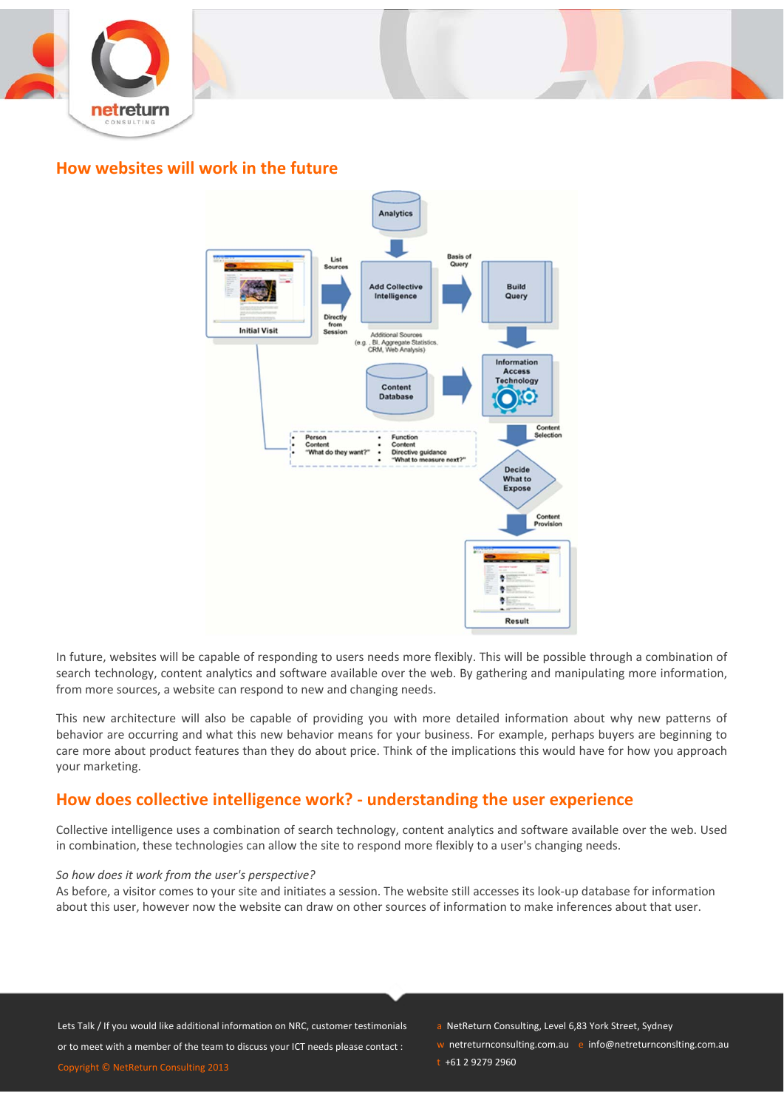



## **How websites will work in the future**



In future, websites will be capable of responding to users needs more flexibly. This will be possible through a combination of search technology, content analytics and software available over the web. By gathering and manipulating more information, from more sources, a website can respond to new and changing needs.

This new architecture will also be capable of providing you with more detailed information about why new patterns of behavior are occurring and what this new behavior means for your business. For example, perhaps buyers are beginning to care more about product features than they do about price. Think of the implications this would have for how you approach your marketing.

# **How does collective intelligence work? ‐ understanding the user experience**

Collective intelligence uses a combination of search technology, content analytics and software available over the web. Used in combination, these technologies can allow the site to respond more flexibly to a user's changing needs.

#### *So how does it work from the user's perspective?*

As before, a visitor comes to your site and initiates a session. The website still accesses its look‐up database for information about this user, however now the website can draw on other sources of information to make inferences about that user.

Lets Talk / If you would like additional information on NRC, customer testimonials or to meet with a member of the team to discuss your ICT needs please contact : Copyright © NetReturn Consulting 2013

- a NetReturn Consulting, Level 6,83 York Street, Sydney
- w netreturnconsulting.com.au e info@netreturnconslting.com.au
- $t + 61$  2 9279 2960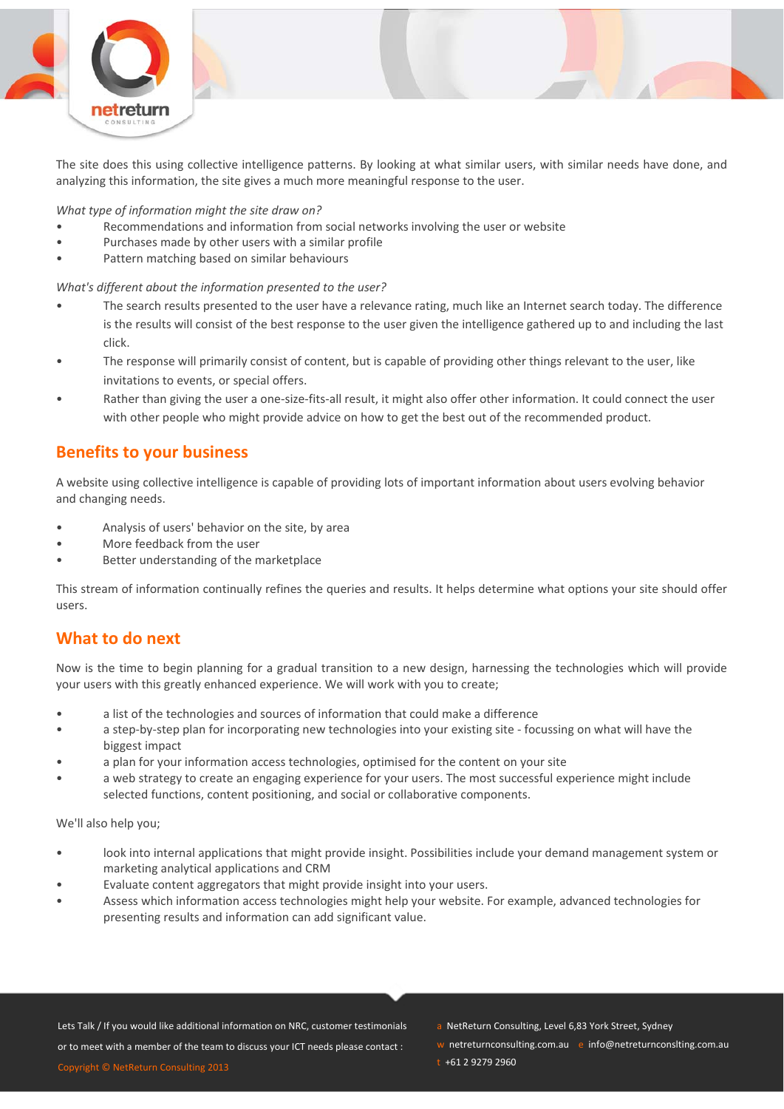

The site does this using collective intelligence patterns. By looking at what similar users, with similar needs have done, and analyzing this information, the site gives a much more meaningful response to the user.

*What type of information might the site draw on?*

- Recommendations and information from social networks involving the user or website
- Purchases made by other users with a similar profile
- Pattern matching based on similar behaviours

*What's different about the information presented to the user?* 

- The search results presented to the user have a relevance rating, much like an Internet search today. The difference is the results will consist of the best response to the user given the intelligence gathered up to and including the last click.
- The response will primarily consist of content, but is capable of providing other things relevant to the user, like invitations to events, or special offers.
- Rather than giving the user a one-size-fits-all result, it might also offer other information. It could connect the user with other people who might provide advice on how to get the best out of the recommended product.

# **Benefits to your business**

A website using collective intelligence is capable of providing lots of important information about users evolving behavior and changing needs.

- Analysis of users' behavior on the site, by area
- More feedback from the user
- Better understanding of the marketplace

This stream of information continually refines the queries and results. It helps determine what options your site should offer users.

## **What to do next**

Now is the time to begin planning for a gradual transition to a new design, harnessing the technologies which will provide your users with this greatly enhanced experience. We will work with you to create;

- a list of the technologies and sources of information that could make a difference
- a step-by-step plan for incorporating new technologies into your existing site focussing on what will have the biggest impact
- a plan for your information access technologies, optimised for the content on your site
- a web strategy to create an engaging experience for your users. The most successful experience might include selected functions, content positioning, and social or collaborative components.

We'll also help you;

- look into internal applications that might provide insight. Possibilities include your demand management system or marketing analytical applications and CRM
- Evaluate content aggregators that might provide insight into your users.
- Assess which information access technologies might help your website. For example, advanced technologies for presenting results and information can add significant value.

- a NetReturn Consulting, Level 6,83 York Street, Sydney
- w netreturnconsulting.com.au e info@netreturnconslting.com.au
- $t + 61$  2 9279 2960